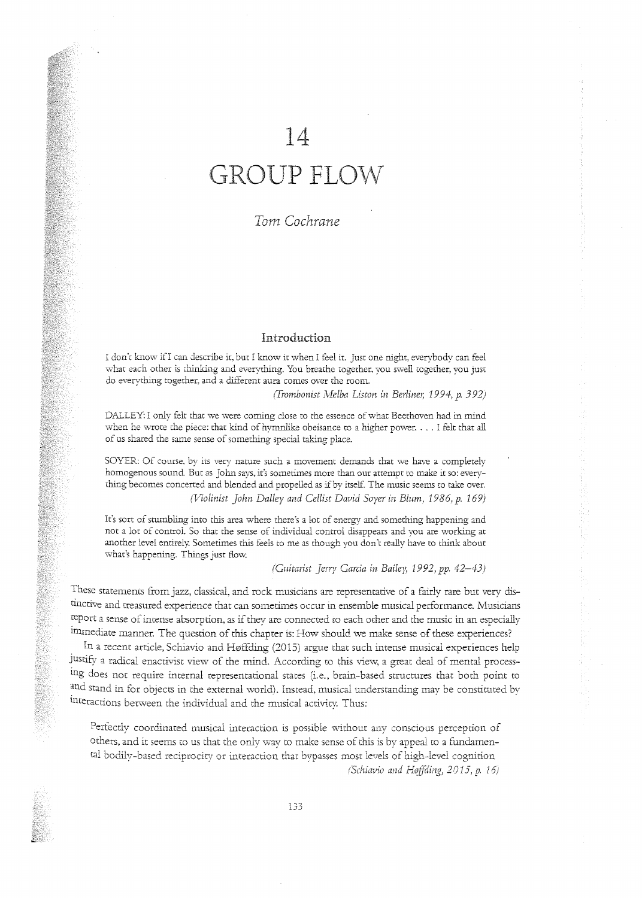# 14

# GROUP FLOW

## 1 *om Cochrane*

#### Introduction

I don'c know ifI can describe it, bur I know it when I feel ir. Just one night, everybody can feel what each other is chinking and everything. You breathe together, you swell together, you just do everything together. and a different aura comes over the room.

*(Trombonist Melba Liston in Berliner, 1994, p. 392)* 

DALLEY: I only felt that we were coming close to the essence of what Beethoven had in mind when he wrote the piece: that kind of hymnlike obeisance to a higher power. . . . I felt that all of us shared the same sense of something special taking place.

SOYER: Of course, by its very nature such a movement demands that we have a completely homogenous sound. Bur as John says, it's somerimes more than our attempt to make it so: everything becomes concerted and blended and propelled as if by itself. The music seems to take over. *(Violinist John Dalley and Cellist David Sayer in Blum,* 1986, p. 169)

It's sort of stumbling imo this area where there's a lot of energy and something happening and noc a lot of conrroL So that the sense of individual control disappears and you are working at another level emirely. Sometimes this feels to me as chough you don't really have to think about what's happening. Things just flow.

*(Guitarist jerry Garcia in Bailey, 1992,* pp. *42-43)* 

These sratemems from jazz, classical, and rock musicians are representative of a fairly rare but very *dis*tinctive and treasured experience that can sometimes occur in ensemble musical performance. Musicians report a sense of imense absorption, as if they are connected ro each other and the music in an especially immediate manner. The question of this chapter is: How should we make sense of these experiences?

. In a recent article, Schiavio and H0ffding (2015) argue that such intense musical experiences help Justify a radical enactivist view of the filind. According *w* this view, a great deal of mental processing does not require internal representational states (i.e., brain-based structures that both point t0 and stand in for objects in the external world). Instead, musical understanding may be constituted by lnteraccions becween the individual and the musical activicy. Thus:

Perfectly coordinated musical interaction is possible without any conscious perception of others, and it seems to us that the only way *w* make sense of this is by appeal to a fundamental bodily-based reciprocity or imeraction thac bvpasses most levels of high-level cognition *(Schiavio and Høffding, 2015, p. 16)*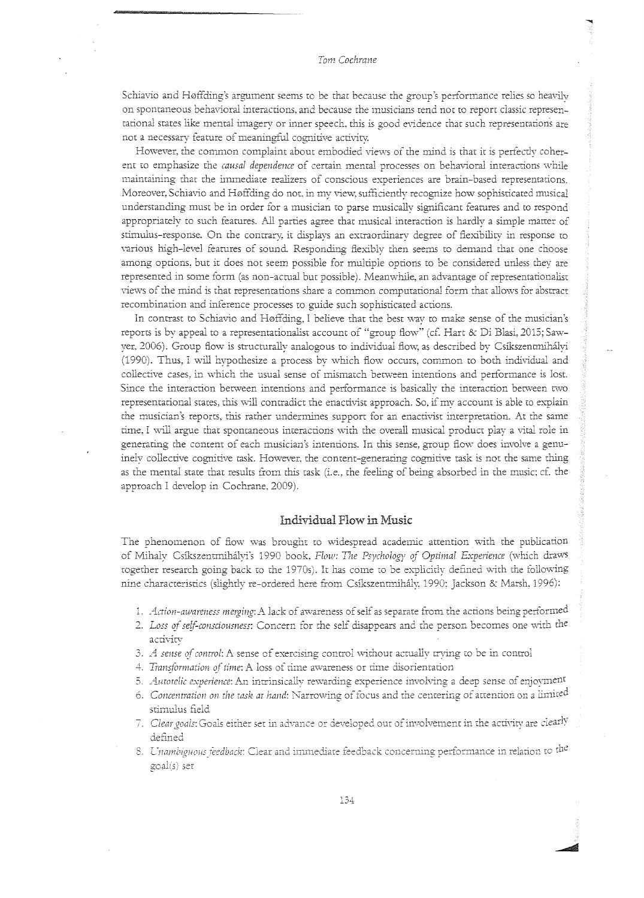Schiavio and H0ffding's argument seems to be that because the group's performance relies so heavily on spontaneous behavioral interactions, and because the musicians tend not to report classic representational states like mental imagery or inner speech, this is good evidence that such representations are not a necessary feature of meaningful cognitive activity

However, the common complaint about embodied views of the mind is that it is perfectly coherent to emphasize the *causal dependence* of certain mental processes on behavioral interactions while maintaining that the immediate realizers of conscious experiences are brain-based representations. Moreover, Schiavio and H0ffding do not. in my view, sufficiently recognize how sophisticated musical understanding must be in order for a musician to parse musically significant features and to respond appropriately to such features. All parties agree that musical interaction is hardly a simple matter of stimulus-response. On the contrary, it displays an extraordinary degree of flexibility in response to various high-level features of sound. Responding flexibly then seems to demand that one choose among options, but it does not seem possible for multiple options to be considered unless they are represented in some form (as non-actual but possible). Meanwhile, an advantage of representationalist views of the mind is chat representations share a common computational form that allows for abstract recombination and inference processes to guide such sophisticated actions.

In comrast to Schiavio and H0ffding, 1 believe that the best \vay ro make sense of the musician's reports is by appeal to a representationalist account of "group flow" (cf. Hart & Di Blasi, 2015; Sawyer, 2006). Group flow is structurally analogous to individual flow, as described by Csíkszentmihályi (1990). Thus, I will hypothesize a process by which flow occurs, common to both individual and collective cases, in which the usual sense of mismatch between intentions and performance is lost. Since the interaction between intentions and performance is basically the interaction between two representational states, this will contradict the enactivist approach. So, if my account is able to explain the musician's reports, this rather undermines support for an enactivist interpretation. At the same time, I will argue that spontaneous interactions with the overall musical product play a vital role in generating the content of each musician's intentions. In this sense, group flow does involve a genuinely collective cognitive task. However, the content-generating cognitive task is not the same thing as the mental state that results from this task (i.e., the feeling of being absorbed in the music; cf. the approach I develop in Cochrane, 2009).

#### Individual Flow in Music

The phenomenon of flow was brought to widespread academic attention with the publication of Mihaly Csíkszentmihályi's 1990 book, Flow: The Psychology of Optimal Experience (which draws rogether research going back to the 1970s). It has come to be explicitly defined with the following nine characteristics (slightly re-ordered here from Csíkszentmihály, 1990; Jackson & Marsh, 1996):

- 1. *Action-awareness merging*: A lack of awareness of self as separate from the actions being performed
- 2. Loss of self-consciousness: Concern for the self disappears and the person becomes one with the activity
- 3. A sense of control: A sense of exercising control without actually trying to be in control
- 4. Transformation of time: A loss of time awareness or time disorientation
- 5. *Autotelic experience: An intrinsically rewarding experience involving a deep sense of enjoyment*
- 6. Concentration on the task at hand: Narrowing of focus and the centering of attention on a limited stimulus field
- 7. Clear goals: Goals either set in advance or developed out of involvement in the activity are clearly **defined**
- 8. *Unambiguous feedback*: Clear and immediate feedback concerning performance in relation to <sup>the</sup> goal(s) set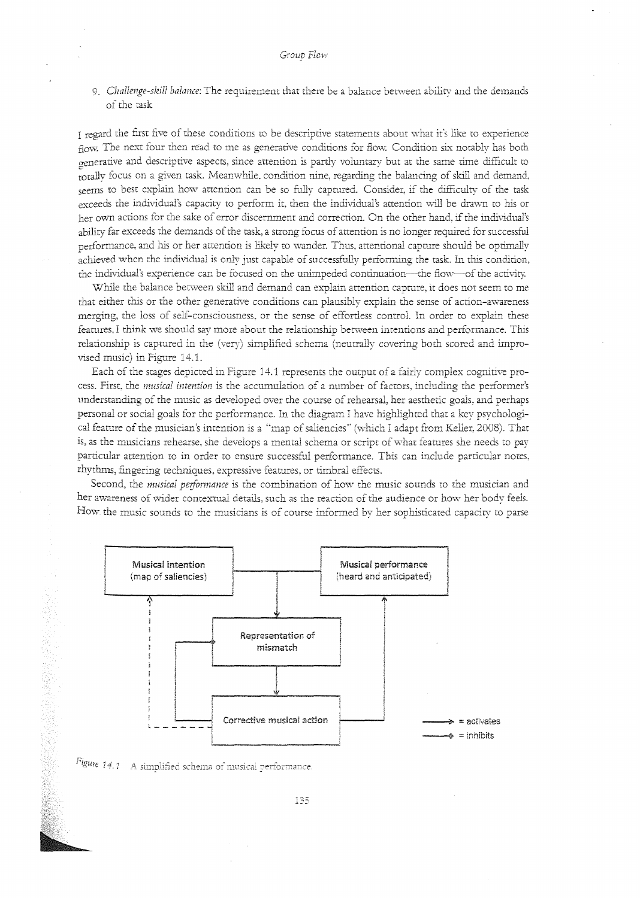9. *Challe11ge-skil/ balance:* The requirement that there be a balance between ability and the demands of the task

I regard the first five of these conditions to be descriptive statements about what it's like to experience flow. The next four then read to me as generative conditions for flow. Condition six notably has both generative and descriptive aspects, since attention is partly voluntary bur at the same rime difficult to totally focus on a given task. Meanwhile, condition nine, regarding the balancing of skill and demand, seems to best explain how attention can be so fully captured. Consider, if the difficulty of the task exceeds the individual's capacity to perform it, then the individual's attention will be drawn to his or her ovvn actions for the sake of error discerrunent and correction. On the other hand, if the individual's ability far exceeds the demands of the task, a strong focus of attention is no longer required for successful performance, and his or her attention is likely to wander. Thus, attentional capture should be optimally achieved when the individual is only just capable of successfully performing the task. In this condition, the individual's experience can be focused on the unimpeded continuation----the flow---of the activity.

While the balance between skill and demand can explain attention capture, it does not seem to me that either this or the other generative conditions can plausibly explain the sense of action-awareness merging, the loss of self-consciousness, or the sense of effortless control. In order to explain these feamres. I think we should say more about the relationship between intentions and performance. This relationship is captured in the (very) simplified schema (neutrally covering both scored and improvised music) in Figure 14.1.

Each of the stages depicted in Figure 14.1 represents the output of a fairly complex cognitive process. First, the *musical intention* is the accumulation of a number of factors, including the performer's understanding of the music as developed over the course of rehearsal, her aesthetic goals, and perhaps personal or social goals for the performance. In the diagram I have highlighted that a key psychological feature of the musician's intention is a "map of saliencies" (which I adapt from Keller, 2008). That is, as the musicians rehearse, she develops a mental schema or script of what features she needs to pay particular attention to in order to ensure successful performance. This can include particular notes, rhythms, fingering rechniques, expressive features, or timbral effects.

Second, the *musical peiformance* is the combination of how the music sounds *w* rhe musician and her awareness of wider contextual details, such as the reaction of the audience or how her body feels. How the music sounds to the musicians is of course informed by her sophisticated capacity to parse



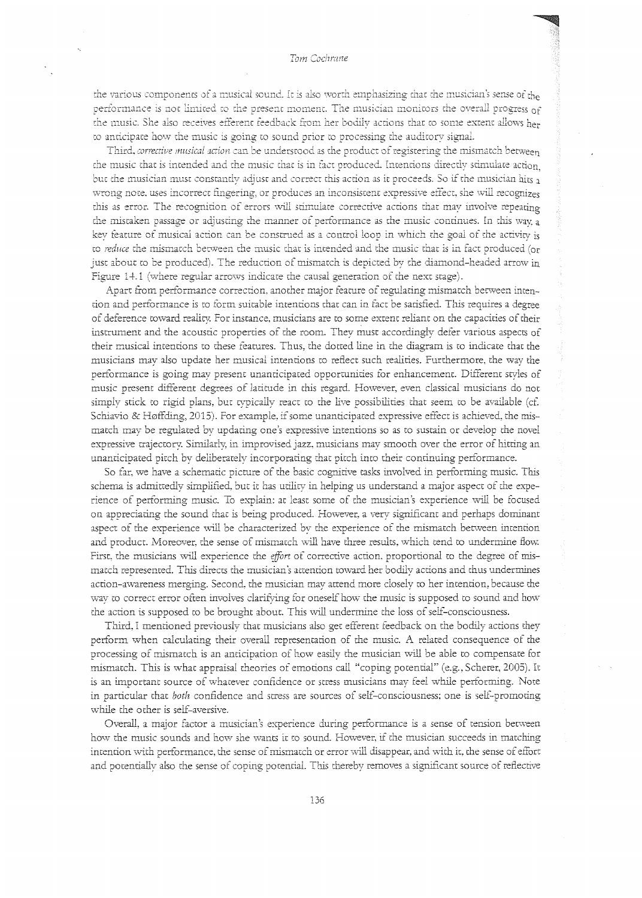#### Tom Cochrane

the various components of a musical sound. It is also worth emphasizing that the musician's sense of the performance is not limited to the present moment. The musician monitors the overall progress of the music. She also receives efferent feedback from her bodily actions that to some extent allows her to anticipate how the music is going to sound prior to processing the auditory signal.

Third, corrective musical action can be understood as the product of registering the mismatch between the music that is intended and the music that is in fact produced. Intentions directly stimulate action but the musician must constantly adjust and correct this action as it proceeds. So if the musician hits a wrong note, uses incorrect fingering, or produces an inconsistent expressive effect, she will recognizes this as error. The recognition of errors will stimulate corrective actions that may involve repeating the mistaken passage or adjusting the manner of performance as the music continues. In this way, a key feature of musical action can be construed as a control loop in which the goal of the activity is to reduce the mismatch between the music that is intended and the music that is in fact produced (or just about to be produced). The reduction of mismatch is depicted by the diamond-headed arrow in Figure 14.1 (where regular arrows indicate the causal generation of the next stage).

Apart from performance correction, another major feature of regulating mismatch between intention and performance is to form suitable intentions that can in fact be satisfied. This requires a degree of deference toward reality. For instance, musicians are to some extent reliant on the capacities of their instrument and the acoustic properties of the room. They must accordingly defer various aspects of their musical intentions to these features. Thus, the dotted line in the diagram is to indicate that the musicians may also update her musical intentions to reflect such realities. Furthermore, the way the performance is going may present unanticipated opportunities for enhancement. Different styles of music present different degrees of latitude in this regard. However, even classical musicians do not simply stick to rigid plans, but typically react to the live possibilities that seem to be available (cf. Schiavio & Høffding, 2015). For example, if some unanticipated expressive effect is achieved, the mismatch may be regulated by updating one's expressive intentions so as to sustain or develop the novel expressive trajectory. Similarly, in improvised jazz, musicians may smooth over the error of hitting an unanticipated pitch by deliberately incorporating that pitch into their continuing performance.

So far, we have a schematic picture of the basic cognitive tasks involved in performing music. This schema is admittedly simplified, but it has utility in helping us understand a major aspect of the experience of performing music. To explain: at least some of the musician's experience will be focused on appreciating the sound that is being produced. However, a very significant and perhaps dominant aspect of the experience will be characterized by the experience of the mismatch between intention and product. Moreover, the sense of mismatch will have three results, which tend to undermine flow. First, the musicians will experience the effort of corrective action, proportional to the degree of mismatch represented. This directs the musician's attention toward her bodily actions and thus undermines action-awareness merging. Second, the musician may attend more closely to her intention, because the way to correct error often involves clarifying for oneself how the music is supposed to sound and how the action is supposed to be brought about. This will undermine the loss of self-consciousness.

Third, I mentioned previously that musicians also get efferent feedback on the bodily actions they perform when calculating their overall representation of the music. A related consequence of the processing of mismatch is an anticipation of how easily the musician will be able to compensate for mismatch. This is what appraisal theories of emotions call "coping potential" (e.g., Scherer, 2005). It is an important source of whatever confidence or stress musicians may feel while performing. Note in particular that both confidence and stress are sources of self-consciousness; one is self-promoting while the other is self-aversive.

Overall, a major factor a musician's experience during performance is a sense of tension between how the music sounds and how she wants it to sound. However, if the musician succeeds in matching intention with performance, the sense of mismatch or error will disappear, and with it, the sense of effort and potentially also the sense of coping potential. This thereby removes a significant source of reflective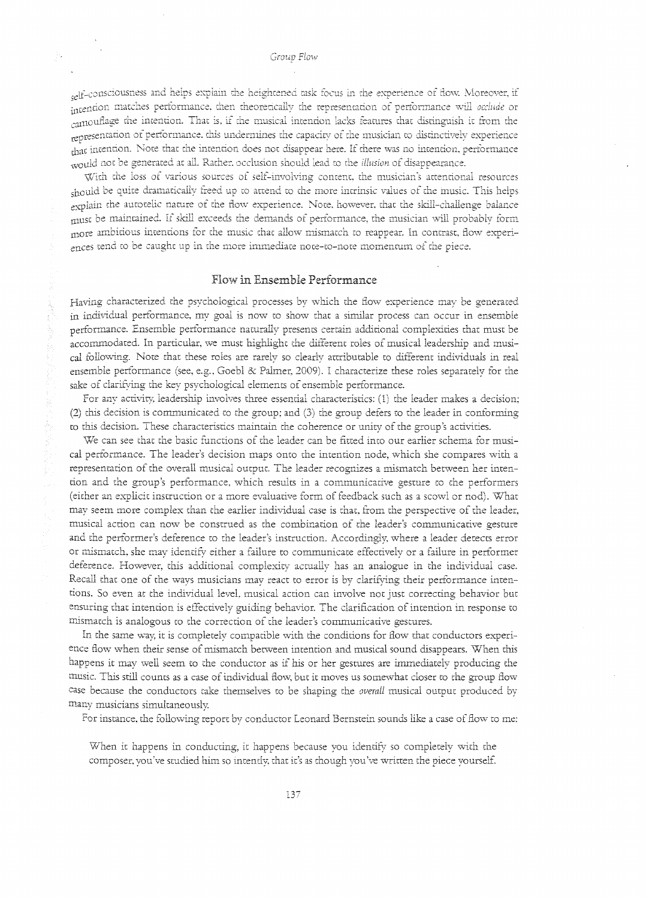self-consciousness and helps explain the heightened task focus in the experience of flow. Moreover, if intention matches performance, then theoretically the representation of performance will occlude or camouflage the intention. That is, if the musical intention lacks features that distinguish it from the representation of performance, this undermines the capacity of the musician to distinctively experience that intention. Note that the intention does not disappear here. If there was no intention, performance would not be generated at all. Rather, occlusion should lead to the *illusion* of disappearance.

With the loss of various sources of self-involving content, the musician's attentional resources should be quite dramatically freed up to attend to the more intrinsic values of the music. This helps explain the autotelic nature of the flow experience. Note, however, that the skill-challenge balance must be maintained. If skill exceeds the demands of performance, the musician will probably form more ambitious intentions for the music that allow mismatch to reappear. In contrast, flow experiances tend to be caught up in the more immediate note-to-note momentum of the piece.

#### Flow in Ensemble Performance

Having characterized the psychological processes by which the flow experience may be generated in individual performance, my goal is now to show that a similar process can occur in ensemble performance. Ensemble performance naturally presents certain additional complexities that must be accommodated. In particular, we must highlight the different roles of musical leadership and musical following. Note that these roles are rarely so clearly attributable to different individuals in real ensemble performance (see, e.g., Goebl & Palmer, 2009). I characterize these roles separately for the sake of clarifying the key psychological elements of ensemble performance.

For any activity, leadership involves three essential characteristics: (1) the leader makes a decision; (2) this decision is communicated to the group; and (3) the group defers to the leader in conforming to this decision. These characteristics maintain the coherence or unity of the group's activities.

We can see that the basic functions of the leader can be fitted into our earlier schema for musical performance. The leader's decision maps onto the intention node, which she compares with a representation of the overall musical output. The leader recognizes a mismatch between her intention and the group's performance, which results in a communicative gesture to the performers (either an explicit instruction or a more evaluative form of feedback such as a scowl or nod). What may seem more complex than the earlier individual case is that, from the perspective of the leader, musical action can now be construed as the combination of the leader's communicative gesture and the performer's deference to the leader's instruction. Accordingly, where a leader detects error or mismatch, she may identify either a failure to communicate effectively or a failure in performer deference. However, this additional complexity actually has an analogue in the individual case. Recall that one of the ways musicians may react to error is by clarifying their performance intentions. So even at the individual level, musical action can involve not just correcting behavior but ensuring that intention is effectively guiding behavior. The clarification of intention in response to mismatch is analogous to the correction of the leader's communicative gestures.

In the same way, it is completely compatible with the conditions for flow that conductors experience flow when their sense of mismatch between intention and musical sound disappears. When this happens it may well seem to the conductor as if his or her gestures are immediately producing the music. This still counts as a case of individual flow, but it moves us somewhat closer to the group flow case because the conductors take themselves to be shaping the overall musical output produced by many musicians simultaneously.

For instance, the following report by conductor Leonard Bernstein sounds like a case of flow to me:

When it happens in conducting, it happens because you identify so completely with the composer, you've studied him so intently, that it's as though you've written the piece yourself.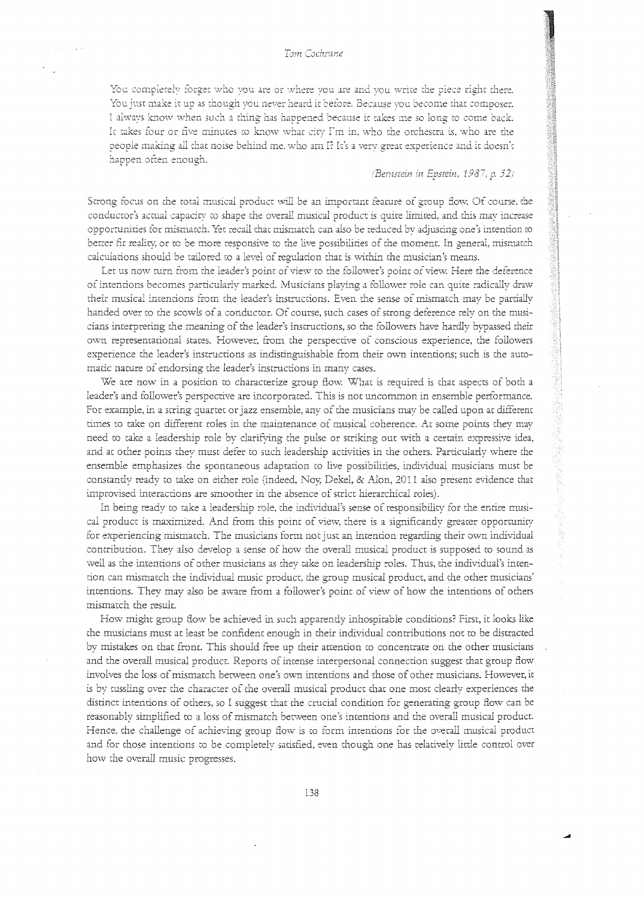#### Tom Cochrane

You completely forget who you are or where you are and you write the piece right there. You just make it up as though you never heard it before. Because you become that composer. I always know when such a thing has happened because it takes me so long to come back. It takes four or five minutes to know what city I'm in, who the orchestra is, who are the people making all that noise behind me, who am I? It's a very great experience and it doesn't happen often enough.

#### (Bernstein in Epstein, 1987, p. 52)

Strong focus on the total musical product will be an important feature of group flow. Of course, the conductor's actual capacity to shape the overall musical product is quite limited, and this may increase opportunities for mismatch. Yet recall that mismatch can also be reduced by adjusting one's intention to better fit reality, or to be more responsive to the live possibilities of the moment. In general, mismatch calculations should be tailored to a level of regulation that is within the musician's means.

Let us now turn from the leader's point of view to the follower's point of view. Here the deference of intentions becomes particularly marked. Musicians playing a follower role can quite radically draw their musical intentions from the leader's instructions. Even the sense of mismatch may be partially handed over to the scowls of a conductor. Of course, such cases of strong deference rely on the musicians interpreting the meaning of the leader's instructions, so the followers have hardly bypassed their own representational states. However, from the perspective of conscious experience, the followers experience the leader's instructions as indistinguishable from their own intentions; such is the automatic nature of endorsing the leader's instructions in many cases.

We are now in a position to characterize group flow. What is required is that aspects of both a leader's and follower's perspective are incorporated. This is not uncommon in ensemble performance. For example, in a string quartet or jazz ensemble, any of the musicians may be called upon at different times to take on different roles in the maintenance of musical coherence. At some points they may need to take a leadership role by clarifying the pulse or striking out with a certain expressive idea, and at other points they must defer to such leadership activities in the others. Particularly where the ensemble emphasizes the spontaneous adaptation to live possibilities, individual musicians must be constantly ready to take on either role (indeed, Noy, Dekel, & Alon, 2011 also present evidence that improvised interactions are smoother in the absence of strict hierarchical roles).

In being ready to take a leadership role, the individual's sense of responsibility for the entire musical product is maximized. And from this point of view, there is a significantly greater opportunity for experiencing mismatch. The musicians form not just an intention regarding their own individual contribution. They also develop a sense of how the overall musical product is supposed to sound as well as the intentions of other musicians as they take on leadership roles. Thus, the individual's intention can mismatch the individual music product, the group musical product, and the other musicians' intentions. They may also be aware from a follower's point of view of how the intentions of others mismatch the result.

How might group flow be achieved in such apparently inhospitable conditions? First, it looks like the musicians must at least be confident enough in their individual contributions not to be distracted by mistakes on that front. This should free up their attention to concentrate on the other musicians and the overall musical product. Reports of intense interpersonal connection suggest that group flow involves the loss of mismatch between one's own intentions and those of other musicians. However, it is by tussling over the character of the overall musical product that one most clearly experiences the distinct intentions of others, so I suggest that the crucial condition for generating group flow can be reasonably simplified to a loss of mismatch between one's intentions and the overall musical product. Hence, the challenge of achieving group flow is to form intentions for the overall musical product and for those intentions to be completely satisfied, even though one has relatively little control over how the overall music progresses.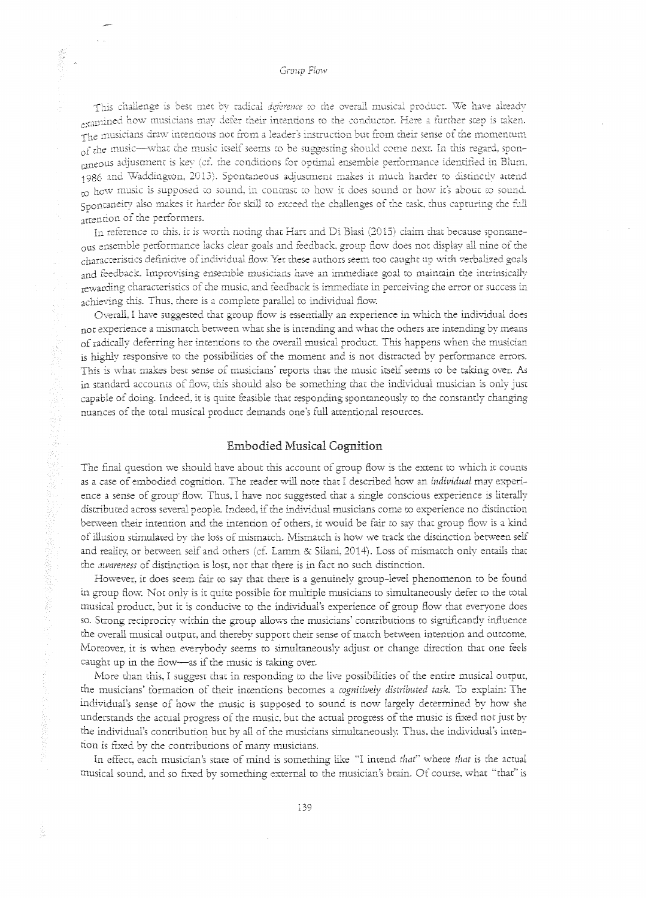Group Flow

This challenge is best met by radical deference to the overall musical product. We have already symined how musicians may defer their intentions to the conductor. Here a further step is taken. The musicians draw intentions not from a leader's instruction but from their sense of the momentum of the music-what the music itself seems to be suggesting should come next. In this regard, sponraneous adjustment is key (cf. the conditions for optimal ensemble performance identified in Blum. 1986 and Waddington, 2013). Spontaneous adjustment makes it much harder to distinctly attend ro how music is supposed to sound, in contrast to how it does sound or how it's about to sound. Spontaneity also makes it harder for skill to exceed the challenges of the task, thus capturing the full attention of the performers.

In reference to this, it is worth noting that Hart and Di Blasi (2015) claim that because spontaneous ensemble performance lacks clear goals and feedback, group flow does not display all nine of the characteristics definitive of individual flow. Yet these authors seem too caught up with verbalized goals and feedback. Improvising ensemble musicians have an immediate goal to maintain the intrinsically rewarding characteristics of the music, and feedback is immediate in perceiving the error or success in achieving this. Thus, there is a complete parallel to individual flow.

Overall, I have suggested that group flow is essentially an experience in which the individual does not experience a mismatch between what she is intending and what the others are intending by means of radically deferring her intentions to the overall musical product. This happens when the musician is highly responsive to the possibilities of the moment and is not distracted by performance errors. This is what makes best sense of musicians' reports that the music itself seems to be taking over. As in standard accounts of flow, this should also be something that the individual musician is only just capable of doing. Indeed, it is quite feasible that responding spontaneously to the constantly changing nuances of the total musical product demands one's full attentional resources.

### **Embodied Musical Cognition**

The final question we should have about this account of group flow is the extent to which it counts as a case of embodied cognition. The reader will note that I described how an individual may experience a sense of group flow. Thus, I have not suggested that a single conscious experience is literally distributed across several people. Indeed, if the individual musicians come to experience no distinction between their intention and the intention of others, it would be fair to say that group flow is a kind of illusion stimulated by the loss of mismatch. Mismatch is how we track the distinction between self and reality, or between self and others (cf. Lamm & Silani, 2014). Loss of mismatch only entails that the awareness of distinction is lost, not that there is in fact no such distinction.

However, it does seem fair to say that there is a genuinely group-level phenomenon to be found in group flow. Not only is it quite possible for multiple musicians to simultaneously defer to the total musical product, but it is conducive to the individual's experience of group flow that everyone does so. Strong reciprocity within the group allows the musicians' contributions to significantly influence the overall musical output, and thereby support their sense of match between intention and outcome. Moreover, it is when everybody seems to simultaneously adjust or change direction that one feels caught up in the flow-as if the music is taking over.

More than this, I suggest that in responding to the live possibilities of the entire musical output, the musicians' formation of their intentions becomes a cognitively distributed task. To explain: The individual's sense of how the music is supposed to sound is now largely determined by how she understands the actual progress of the music, but the actual progress of the music is fixed not just by the individual's contribution but by all of the musicians simultaneously. Thus, the individual's intention is fixed by the contributions of many musicians.

In effect, each musician's state of mind is something like "I intend that" where that is the actual musical sound, and so fixed by something external to the musician's brain. Of course, what "that" is